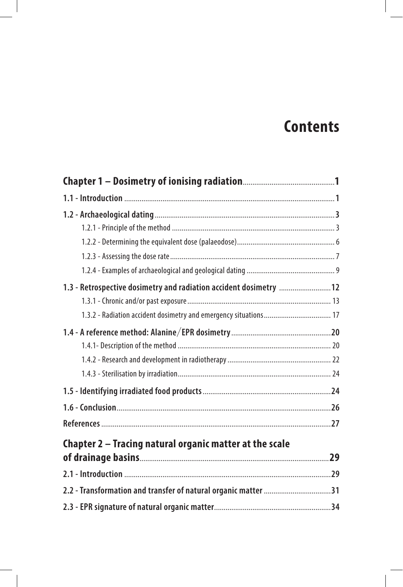## **Contents**

| 1.3 - Retrospective dosimetry and radiation accident dosimetry  12 |  |
|--------------------------------------------------------------------|--|
|                                                                    |  |
|                                                                    |  |
|                                                                    |  |
|                                                                    |  |
|                                                                    |  |
|                                                                    |  |
|                                                                    |  |
|                                                                    |  |
|                                                                    |  |
| Chapter 2 - Tracing natural organic matter at the scale            |  |
|                                                                    |  |
|                                                                    |  |
| 2.2 - Transformation and transfer of natural organic matter 31     |  |
|                                                                    |  |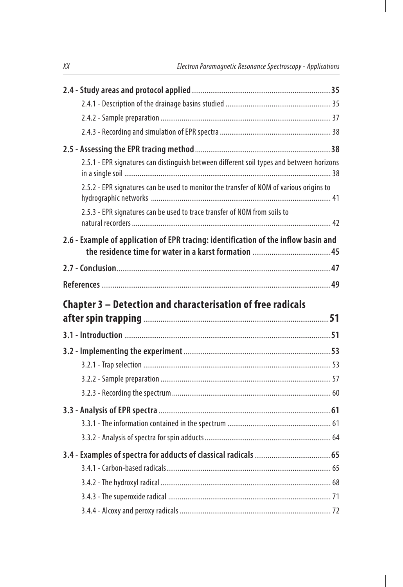| 2.5.1 - EPR signatures can distinguish between different soil types and between horizons |  |
|------------------------------------------------------------------------------------------|--|
| 2.5.2 - EPR signatures can be used to monitor the transfer of NOM of various origins to  |  |
| 2.5.3 - EPR signatures can be used to trace transfer of NOM from soils to                |  |
| 2.6 - Example of application of EPR tracing: identification of the inflow basin and      |  |
|                                                                                          |  |
|                                                                                          |  |
|                                                                                          |  |
| Chapter 3 – Detection and characterisation of free radicals                              |  |
|                                                                                          |  |
|                                                                                          |  |
|                                                                                          |  |
|                                                                                          |  |
|                                                                                          |  |
|                                                                                          |  |
|                                                                                          |  |
|                                                                                          |  |
|                                                                                          |  |
|                                                                                          |  |
|                                                                                          |  |
|                                                                                          |  |
|                                                                                          |  |
|                                                                                          |  |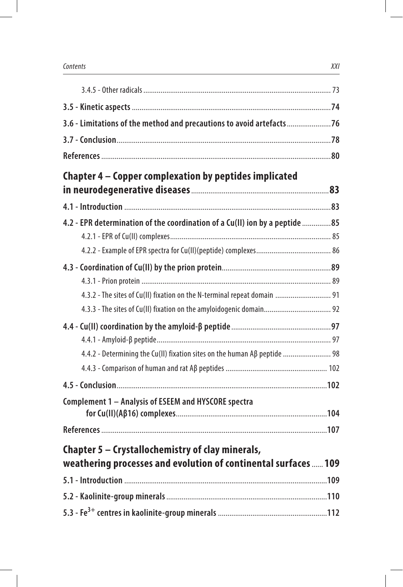| 3.6 - Limitations of the method and precautions to avoid artefacts76        |  |
|-----------------------------------------------------------------------------|--|
|                                                                             |  |
|                                                                             |  |
| Chapter 4 - Copper complexation by peptides implicated                      |  |
|                                                                             |  |
|                                                                             |  |
| 4.2 - EPR determination of the coordination of a Cu(II) ion by a peptide 85 |  |
|                                                                             |  |
|                                                                             |  |
| 4.3.2 - The sites of Cu(II) fixation on the N-terminal repeat domain  91    |  |
|                                                                             |  |
|                                                                             |  |
|                                                                             |  |
| 4.4.2 - Determining the Cu(II) fixation sites on the human Aβ peptide  98   |  |
|                                                                             |  |
|                                                                             |  |
| Complement 1 - Analysis of ESEEM and HYSCORE spectra                        |  |
|                                                                             |  |
|                                                                             |  |
| Chapter 5 – Crystallochemistry of clay minerals,                            |  |
| weathering processes and evolution of continental surfaces  109             |  |
|                                                                             |  |
|                                                                             |  |
|                                                                             |  |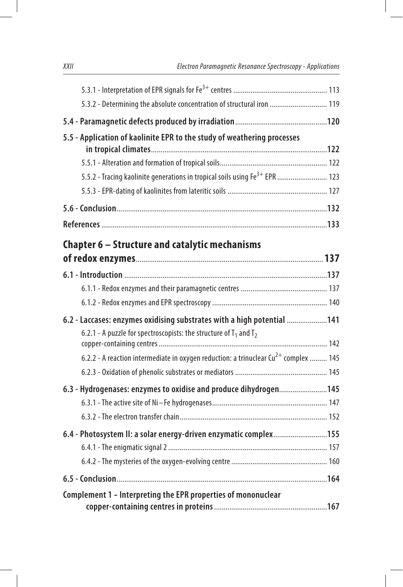| 5.3.2 - Determining the absolute concentration of structural iron  119                          |  |
|-------------------------------------------------------------------------------------------------|--|
|                                                                                                 |  |
| 5.5 - Application of kaolinite EPR to the study of weathering processes                         |  |
|                                                                                                 |  |
|                                                                                                 |  |
| 5.5.2 - Tracing kaolinite generations in tropical soils using Fe <sup>3+</sup> EPR  123         |  |
|                                                                                                 |  |
|                                                                                                 |  |
|                                                                                                 |  |
| Chapter 6 - Structure and catalytic mechanisms                                                  |  |
|                                                                                                 |  |
|                                                                                                 |  |
|                                                                                                 |  |
|                                                                                                 |  |
| 6.2 - Laccases: enzymes oxidising substrates with a high potential 141                          |  |
| 6.2.1 - A puzzle for spectroscopists: the structure of $T_1$ and $T_2$                          |  |
|                                                                                                 |  |
| 6.2.2 - A reaction intermediate in oxygen reduction: a trinuclear $\text{Cu}^{2+}$ complex  145 |  |
|                                                                                                 |  |
| 6.3 - Hydrogenases: enzymes to oxidise and produce dihydrogen145                                |  |
|                                                                                                 |  |
|                                                                                                 |  |
| 6.4 - Photosystem II: a solar energy-driven enzymatic complex155                                |  |
|                                                                                                 |  |
|                                                                                                 |  |
|                                                                                                 |  |
| Complement 1 - Interpreting the EPR properties of mononuclear                                   |  |
|                                                                                                 |  |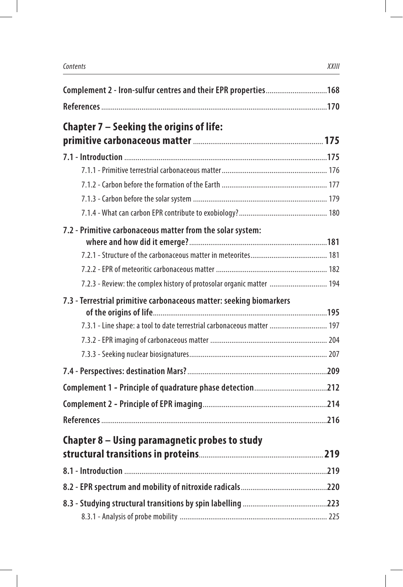| Complement 2 - Iron-sulfur centres and their EPR properties 168         |  |
|-------------------------------------------------------------------------|--|
|                                                                         |  |
| Chapter 7 – Seeking the origins of life:                                |  |
|                                                                         |  |
|                                                                         |  |
|                                                                         |  |
|                                                                         |  |
|                                                                         |  |
|                                                                         |  |
| 7.2 - Primitive carbonaceous matter from the solar system:              |  |
|                                                                         |  |
|                                                                         |  |
|                                                                         |  |
| 7.2.3 - Review: the complex history of protosolar organic matter  194   |  |
| 7.3 - Terrestrial primitive carbonaceous matter: seeking biomarkers     |  |
|                                                                         |  |
| 7.3.1 - Line shape: a tool to date terrestrial carbonaceous matter  197 |  |
|                                                                         |  |
|                                                                         |  |
|                                                                         |  |
|                                                                         |  |
|                                                                         |  |
|                                                                         |  |
| Chapter 8 – Using paramagnetic probes to study                          |  |
|                                                                         |  |
|                                                                         |  |
|                                                                         |  |
|                                                                         |  |
|                                                                         |  |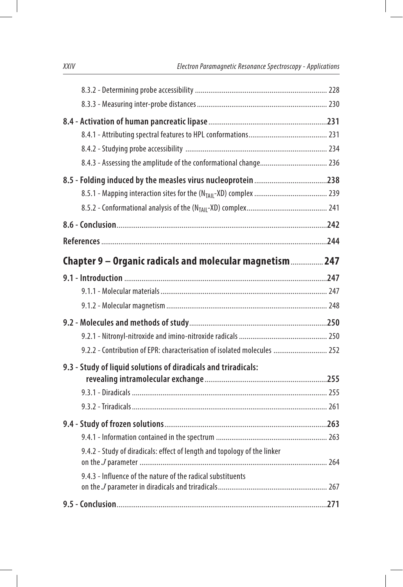| Chapter 9 – Organic radicals and molecular magnetism  247                |  |
|--------------------------------------------------------------------------|--|
|                                                                          |  |
|                                                                          |  |
|                                                                          |  |
|                                                                          |  |
|                                                                          |  |
| 9.2.2 - Contribution of EPR: characterisation of isolated molecules  252 |  |
| 9.3 - Study of liquid solutions of diradicals and triradicals:           |  |
|                                                                          |  |
|                                                                          |  |
|                                                                          |  |
|                                                                          |  |
|                                                                          |  |
| 9.4.2 - Study of diradicals: effect of length and topology of the linker |  |
| 9.4.3 - Influence of the nature of the radical substituents              |  |
|                                                                          |  |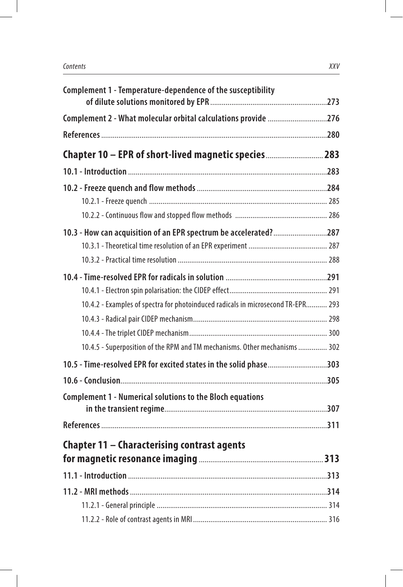| Complement 1 - Temperature-dependence of the susceptibility                      |  |
|----------------------------------------------------------------------------------|--|
| Complement 2 - What molecular orbital calculations provide 276                   |  |
|                                                                                  |  |
| Chapter 10 - EPR of short-lived magnetic species 283                             |  |
|                                                                                  |  |
|                                                                                  |  |
|                                                                                  |  |
|                                                                                  |  |
| 10.3 - How can acquisition of an EPR spectrum be accelerated?287                 |  |
|                                                                                  |  |
|                                                                                  |  |
|                                                                                  |  |
|                                                                                  |  |
| 10.4.2 - Examples of spectra for photoinduced radicals in microsecond TR-EPR 293 |  |
|                                                                                  |  |
|                                                                                  |  |
| 10.4.5 - Superposition of the RPM and TM mechanisms. Other mechanisms  302       |  |
| 10.5 - Time-resolved EPR for excited states in the solid phase303                |  |
|                                                                                  |  |
| <b>Complement 1 - Numerical solutions to the Bloch equations</b>                 |  |
|                                                                                  |  |
|                                                                                  |  |
| Chapter 11 – Characterising contrast agents                                      |  |
|                                                                                  |  |
|                                                                                  |  |
|                                                                                  |  |
|                                                                                  |  |
|                                                                                  |  |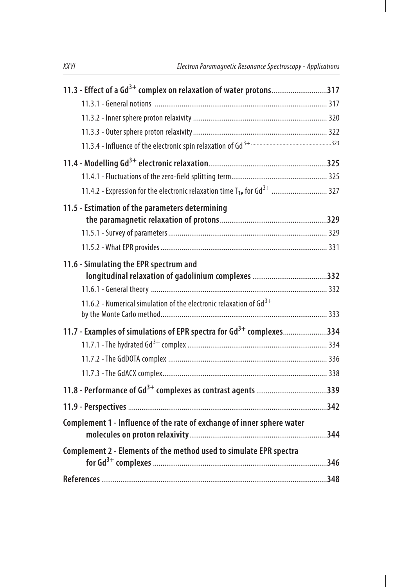| 11.3 - Effect of a Gd <sup>3+</sup> complex on relaxation of water protons317   |  |
|---------------------------------------------------------------------------------|--|
|                                                                                 |  |
|                                                                                 |  |
|                                                                                 |  |
|                                                                                 |  |
|                                                                                 |  |
|                                                                                 |  |
|                                                                                 |  |
| 11.5 - Estimation of the parameters determining                                 |  |
|                                                                                 |  |
|                                                                                 |  |
|                                                                                 |  |
| 11.6 - Simulating the EPR spectrum and                                          |  |
|                                                                                 |  |
|                                                                                 |  |
| 11.6.2 - Numerical simulation of the electronic relaxation of $Gd^{3+}$         |  |
| 11.7 - Examples of simulations of EPR spectra for Gd <sup>3+</sup> complexes334 |  |
|                                                                                 |  |
|                                                                                 |  |
|                                                                                 |  |
|                                                                                 |  |
|                                                                                 |  |
| Complement 1 - Influence of the rate of exchange of inner sphere water          |  |
| Complement 2 - Elements of the method used to simulate EPR spectra              |  |
|                                                                                 |  |
|                                                                                 |  |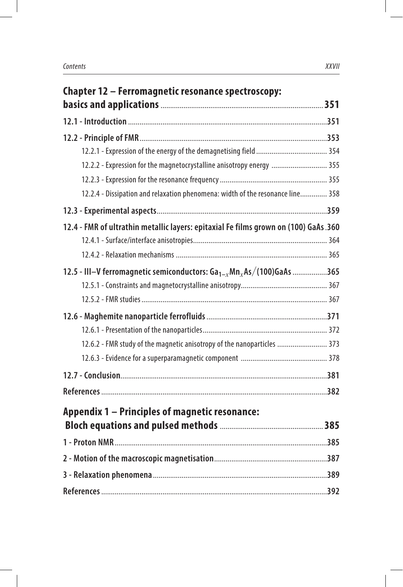| Chapter 12 - Ferromagnetic resonance spectroscopy:                                   |  |
|--------------------------------------------------------------------------------------|--|
|                                                                                      |  |
|                                                                                      |  |
|                                                                                      |  |
|                                                                                      |  |
| 12.2.2 - Expression for the magnetocrystalline anisotropy energy  355                |  |
|                                                                                      |  |
| 12.2.4 - Dissipation and relaxation phenomena: width of the resonance line 358       |  |
|                                                                                      |  |
| 12.4 - FMR of ultrathin metallic layers: epitaxial Fe films grown on (100) GaAs .360 |  |
|                                                                                      |  |
|                                                                                      |  |
| 12.5 - III-V ferromagnetic semiconductors: $Ga_{1-x}Mn_xAs/(100)GaAs$ 365            |  |
|                                                                                      |  |
|                                                                                      |  |
|                                                                                      |  |
|                                                                                      |  |
| 12.6.2 - FMR study of the magnetic anisotropy of the nanoparticles  373              |  |
|                                                                                      |  |
|                                                                                      |  |
|                                                                                      |  |
| <b>Appendix 1 - Principles of magnetic resonance:</b>                                |  |
|                                                                                      |  |
|                                                                                      |  |
|                                                                                      |  |
|                                                                                      |  |
|                                                                                      |  |